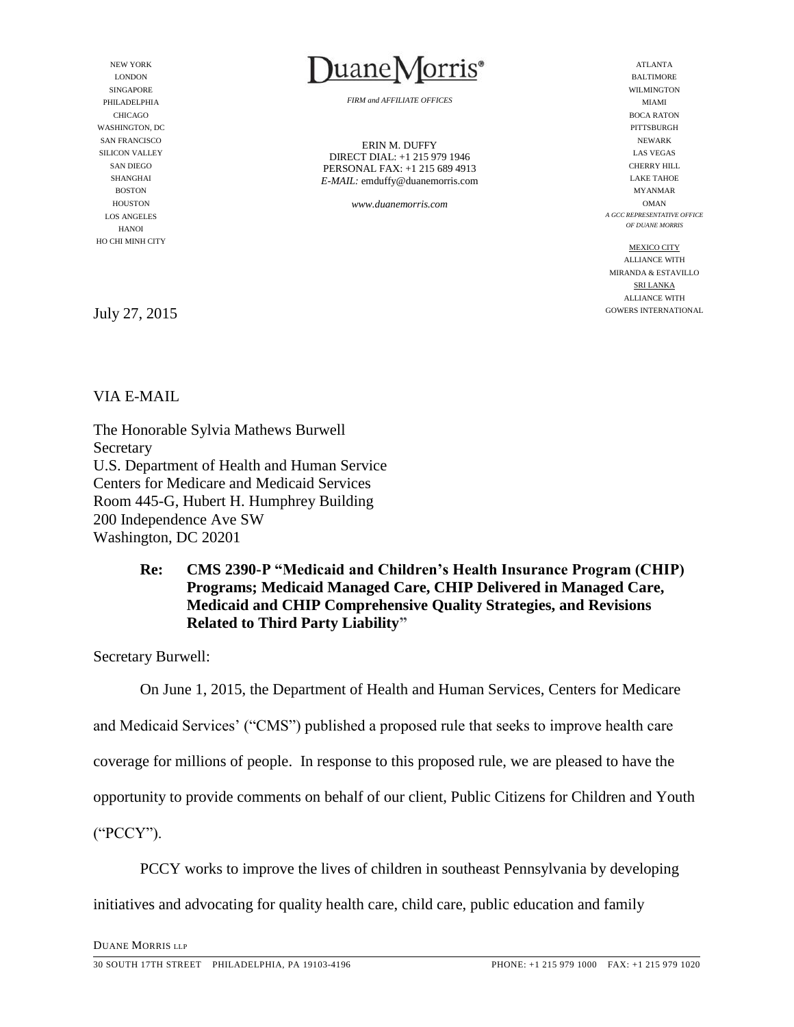NEW YORK LONDON SINGAPORE PHILADELPHIA CHICAGO WASHINGTON, DC SAN FRANCISCO SILICON VALLEY SAN DIEGO SHANGHAI **BOSTON** HOUSTON LOS ANGELES HANOI HO CHI MINH CITY

July 27, 2015

VIA E-MAIL

The Honorable Sylvia Mathews Burwell Secretary U.S. Department of Health and Human Service Centers for Medicare and Medicaid Services Room 445-G, Hubert H. Humphrey Building 200 Independence Ave SW Washington, DC 20201

### **Re: CMS 2390-P "Medicaid and Children's Health Insurance Program (CHIP) Programs; Medicaid Managed Care, CHIP Delivered in Managed Care, Medicaid and CHIP Comprehensive Quality Strategies, and Revisions Related to Third Party Liability"**

Secretary Burwell:

On June 1, 2015, the Department of Health and Human Services, Centers for Medicare

and Medicaid Services' ("CMS") published a proposed rule that seeks to improve health care

coverage for millions of people. In response to this proposed rule, we are pleased to have the

opportunity to provide comments on behalf of our client, Public Citizens for Children and Youth

("PCCY").

PCCY works to improve the lives of children in southeast Pennsylvania by developing

initiatives and advocating for quality health care, child care, public education and family

DUANE MORRIS LLP



*FIRM and AFFILIATE OFFICES*

ERIN M. DUFFY DIRECT DIAL: +1 215 979 1946 PERSONAL FAX: +1 215 689 4913 *E-MAIL:* emduffy@duanemorris.com

*www.duanemorris.com*

ATLANTA BALTIMORE WILMINGTON MIAMI BOCA RATON PITTSBURGH NEWARK LAS VEGAS CHERRY HILL LAKE TAHOE MYANMAR OMAN *A GCC REPRESENTATIVE OFFICE OF DUANE MORRIS*

MEXICO CITY ALLIANCE WITH MIRANDA & ESTAVILLO SRI LANKA ALLIANCE WITH GOWERS INTERNATIONAL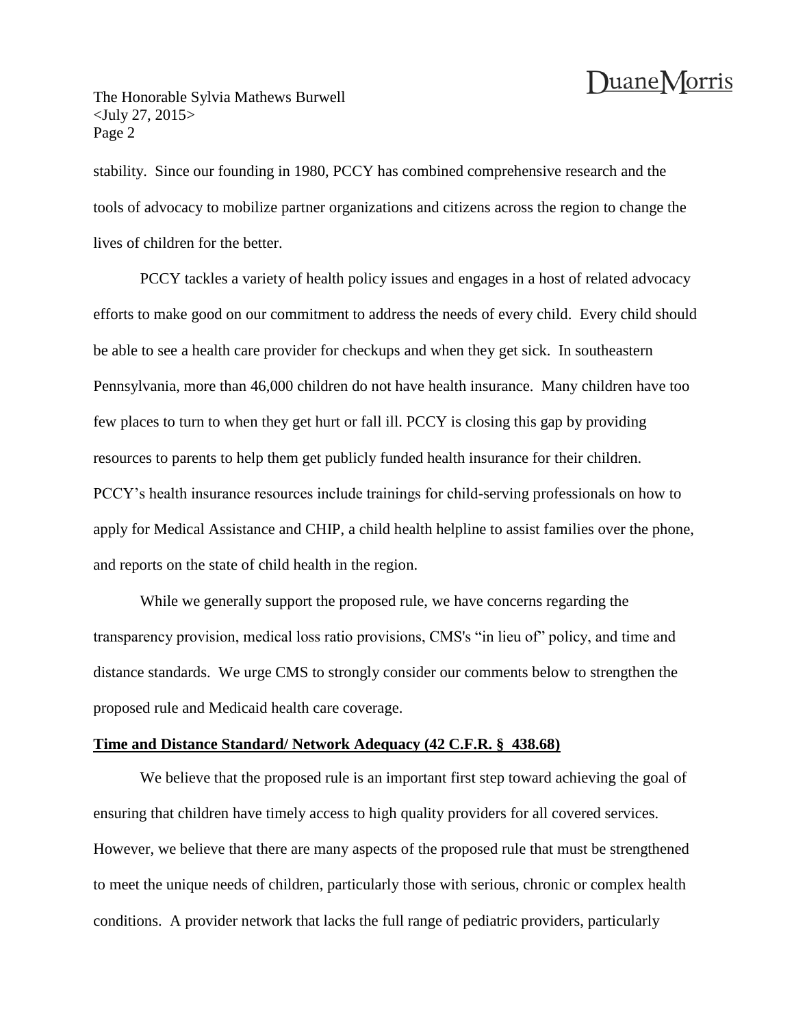The Honorable Sylvia Mathews Burwell <July 27, 2015> Page 2

stability. Since our founding in 1980, PCCY has combined comprehensive research and the tools of advocacy to mobilize partner organizations and citizens across the region to change the lives of children for the better.

PCCY tackles a variety of health policy issues and engages in a host of related advocacy efforts to make good on our commitment to address the needs of every child. Every child should be able to see a health care provider for checkups and when they get sick. In southeastern Pennsylvania, more than 46,000 children do not have health insurance. Many children have too few places to turn to when they get hurt or fall ill. PCCY is closing this gap by providing resources to parents to help them get publicly funded health insurance for their children. PCCY's health insurance resources include trainings for child-serving professionals on how to apply for Medical Assistance and CHIP, a child health helpline to assist families over the phone, and reports on the state of child health in the region.

While we generally support the proposed rule, we have concerns regarding the transparency provision, medical loss ratio provisions, CMS's "in lieu of" policy, and time and distance standards. We urge CMS to strongly consider our comments below to strengthen the proposed rule and Medicaid health care coverage.

#### **Time and Distance Standard/ Network Adequacy (42 C.F.R. § 438.68)**

We believe that the proposed rule is an important first step toward achieving the goal of ensuring that children have timely access to high quality providers for all covered services. However, we believe that there are many aspects of the proposed rule that must be strengthened to meet the unique needs of children, particularly those with serious, chronic or complex health conditions. A provider network that lacks the full range of pediatric providers, particularly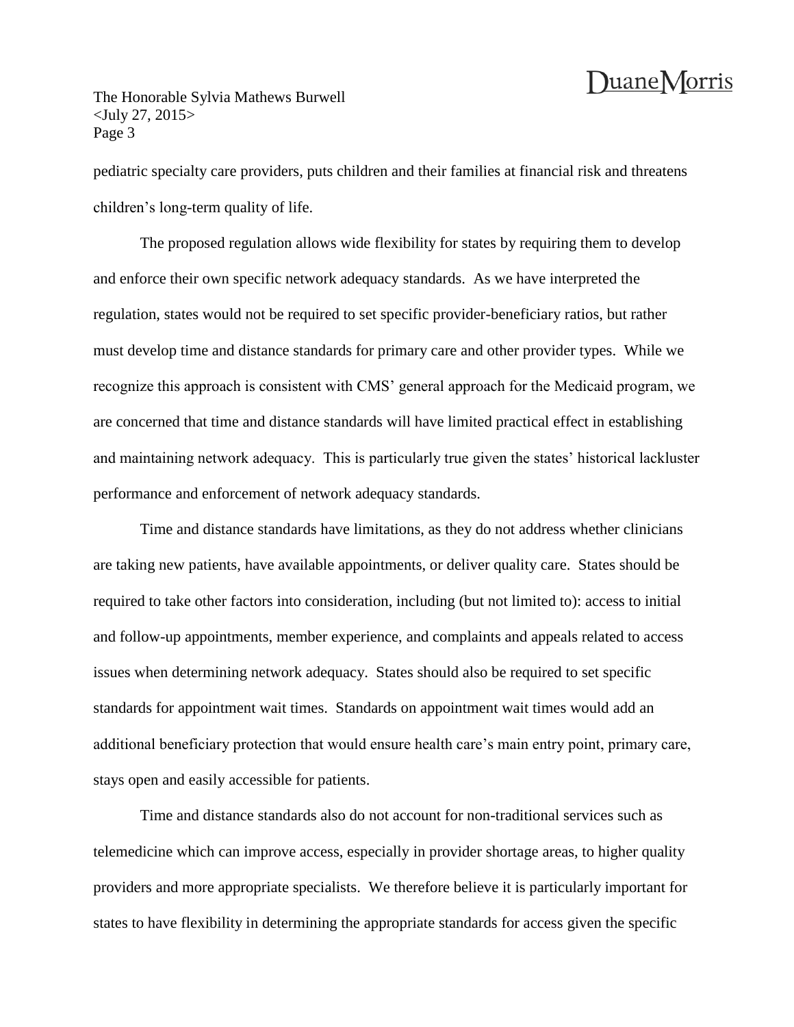The Honorable Sylvia Mathews Burwell <July 27, 2015> Page 3

pediatric specialty care providers, puts children and their families at financial risk and threatens children's long-term quality of life.

The proposed regulation allows wide flexibility for states by requiring them to develop and enforce their own specific network adequacy standards. As we have interpreted the regulation, states would not be required to set specific provider-beneficiary ratios, but rather must develop time and distance standards for primary care and other provider types. While we recognize this approach is consistent with CMS' general approach for the Medicaid program, we are concerned that time and distance standards will have limited practical effect in establishing and maintaining network adequacy. This is particularly true given the states' historical lackluster performance and enforcement of network adequacy standards.

Time and distance standards have limitations, as they do not address whether clinicians are taking new patients, have available appointments, or deliver quality care. States should be required to take other factors into consideration, including (but not limited to): access to initial and follow-up appointments, member experience, and complaints and appeals related to access issues when determining network adequacy. States should also be required to set specific standards for appointment wait times. Standards on appointment wait times would add an additional beneficiary protection that would ensure health care's main entry point, primary care, stays open and easily accessible for patients.

Time and distance standards also do not account for non-traditional services such as telemedicine which can improve access, especially in provider shortage areas, to higher quality providers and more appropriate specialists. We therefore believe it is particularly important for states to have flexibility in determining the appropriate standards for access given the specific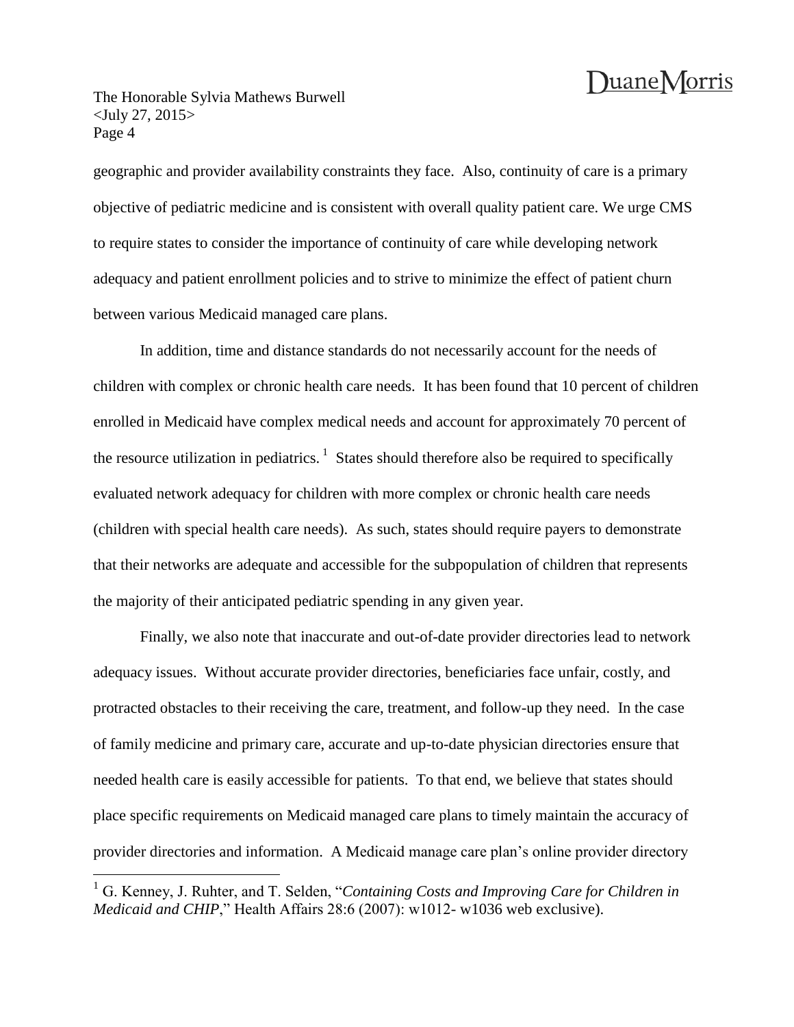The Honorable Sylvia Mathews Burwell <July 27, 2015> Page 4

 $\overline{a}$ 

geographic and provider availability constraints they face. Also, continuity of care is a primary objective of pediatric medicine and is consistent with overall quality patient care. We urge CMS to require states to consider the importance of continuity of care while developing network adequacy and patient enrollment policies and to strive to minimize the effect of patient churn between various Medicaid managed care plans.

In addition, time and distance standards do not necessarily account for the needs of children with complex or chronic health care needs. It has been found that 10 percent of children enrolled in Medicaid have complex medical needs and account for approximately 70 percent of the resource utilization in pediatrics.<sup>1</sup> States should therefore also be required to specifically evaluated network adequacy for children with more complex or chronic health care needs (children with special health care needs). As such, states should require payers to demonstrate that their networks are adequate and accessible for the subpopulation of children that represents the majority of their anticipated pediatric spending in any given year.

Finally, we also note that inaccurate and out-of-date provider directories lead to network adequacy issues. Without accurate provider directories, beneficiaries face unfair, costly, and protracted obstacles to their receiving the care, treatment, and follow-up they need. In the case of family medicine and primary care, accurate and up-to-date physician directories ensure that needed health care is easily accessible for patients. To that end, we believe that states should place specific requirements on Medicaid managed care plans to timely maintain the accuracy of provider directories and information. A Medicaid manage care plan's online provider directory

<sup>1</sup> G. Kenney, J. Ruhter, and T. Selden, "*Containing Costs and Improving Care for Children in Medicaid and CHIP*," Health Affairs 28:6 (2007): w1012- w1036 web exclusive).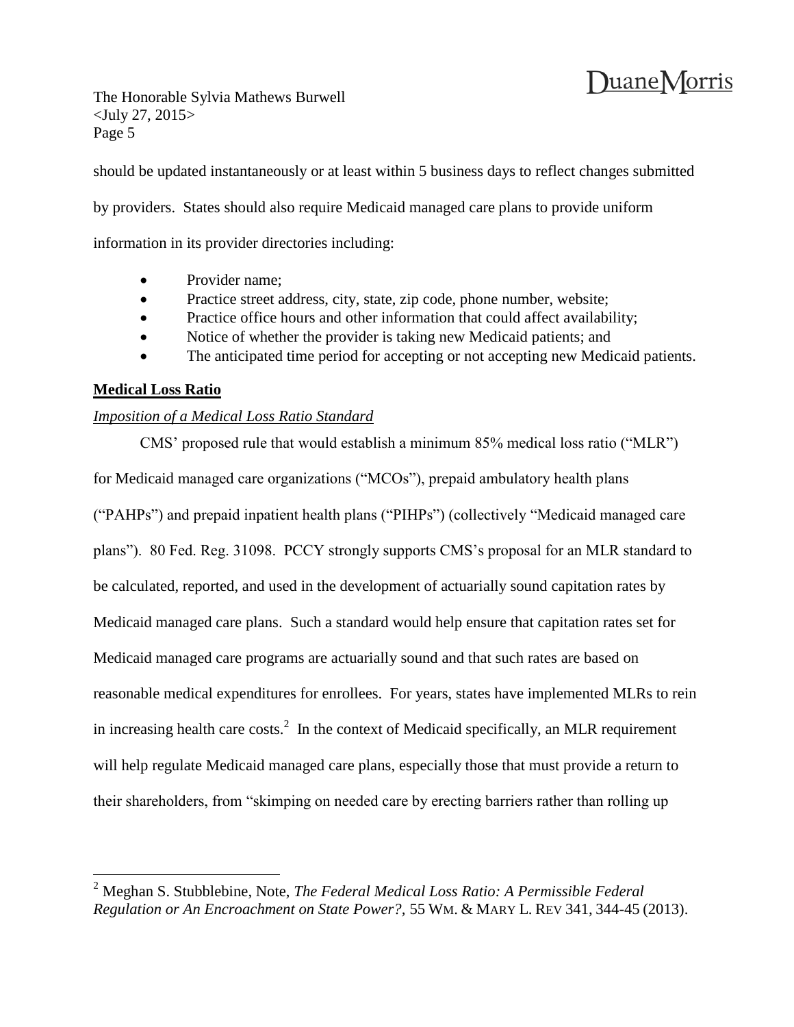The Honorable Sylvia Mathews Burwell <July 27, 2015> Page 5

should be updated instantaneously or at least within 5 business days to reflect changes submitted

by providers. States should also require Medicaid managed care plans to provide uniform

information in its provider directories including:

- Provider name:
- Practice street address, city, state, zip code, phone number, website;
- Practice office hours and other information that could affect availability;
- Notice of whether the provider is taking new Medicaid patients; and
- The anticipated time period for accepting or not accepting new Medicaid patients.

### **Medical Loss Ratio**

 $\overline{a}$ 

#### *Imposition of a Medical Loss Ratio Standard*

CMS' proposed rule that would establish a minimum 85% medical loss ratio ("MLR") for Medicaid managed care organizations ("MCOs"), prepaid ambulatory health plans ("PAHPs") and prepaid inpatient health plans ("PIHPs") (collectively "Medicaid managed care plans"). 80 Fed. Reg. 31098. PCCY strongly supports CMS's proposal for an MLR standard to be calculated, reported, and used in the development of actuarially sound capitation rates by Medicaid managed care plans. Such a standard would help ensure that capitation rates set for Medicaid managed care programs are actuarially sound and that such rates are based on reasonable medical expenditures for enrollees. For years, states have implemented MLRs to rein in increasing health care costs.<sup>2</sup> In the context of Medicaid specifically, an MLR requirement will help regulate Medicaid managed care plans, especially those that must provide a return to their shareholders, from "skimping on needed care by erecting barriers rather than rolling up

<sup>2</sup> Meghan S. Stubblebine, Note, *The Federal Medical Loss Ratio: A Permissible Federal Regulation or An Encroachment on State Power?,* 55 WM. & MARY L. REV 341, 344-45 (2013).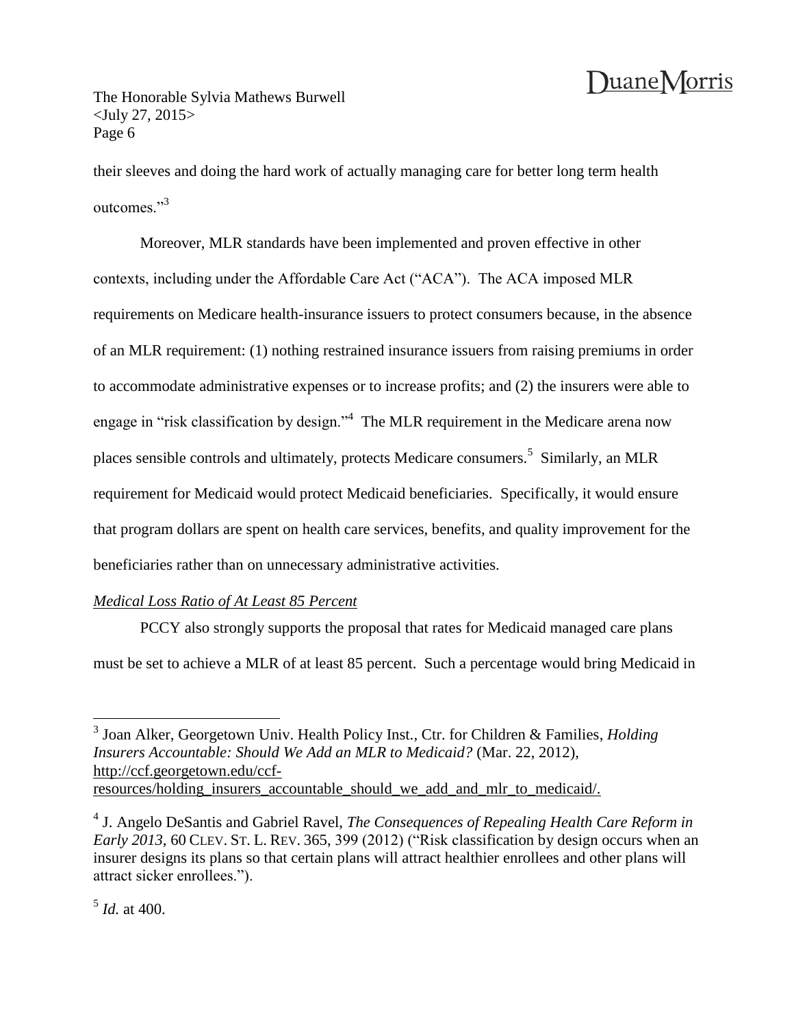The Honorable Sylvia Mathews Burwell <July 27, 2015> Page 6

their sleeves and doing the hard work of actually managing care for better long term health outcomes<sup>"3</sup>

Moreover, MLR standards have been implemented and proven effective in other contexts, including under the Affordable Care Act ("ACA"). The ACA imposed MLR requirements on Medicare health-insurance issuers to protect consumers because, in the absence of an MLR requirement: (1) nothing restrained insurance issuers from raising premiums in order to accommodate administrative expenses or to increase profits; and (2) the insurers were able to engage in "risk classification by design."<sup>4</sup> The MLR requirement in the Medicare arena now places sensible controls and ultimately, protects Medicare consumers.<sup>5</sup> Similarly, an MLR requirement for Medicaid would protect Medicaid beneficiaries. Specifically, it would ensure that program dollars are spent on health care services, benefits, and quality improvement for the beneficiaries rather than on unnecessary administrative activities.

### *Medical Loss Ratio of At Least 85 Percent*

PCCY also strongly supports the proposal that rates for Medicaid managed care plans must be set to achieve a MLR of at least 85 percent. Such a percentage would bring Medicaid in

 $\overline{a}$ 

<sup>3</sup> Joan Alker, Georgetown Univ. Health Policy Inst., Ctr. for Children & Families, *Holding Insurers Accountable: Should We Add an MLR to Medicaid?* (Mar. 22, 2012), http://ccf.georgetown.edu/ccfresources/holding\_insurers\_accountable\_should\_we\_add\_and\_mlr\_to\_medicaid/.

<sup>4</sup> J. Angelo DeSantis and Gabriel Ravel, *The Consequences of Repealing Health Care Reform in Early 2013*, 60 CLEV. ST. L. REV. 365, 399 (2012) ("Risk classification by design occurs when an insurer designs its plans so that certain plans will attract healthier enrollees and other plans will attract sicker enrollees.").

<sup>5</sup> *Id.* at 400.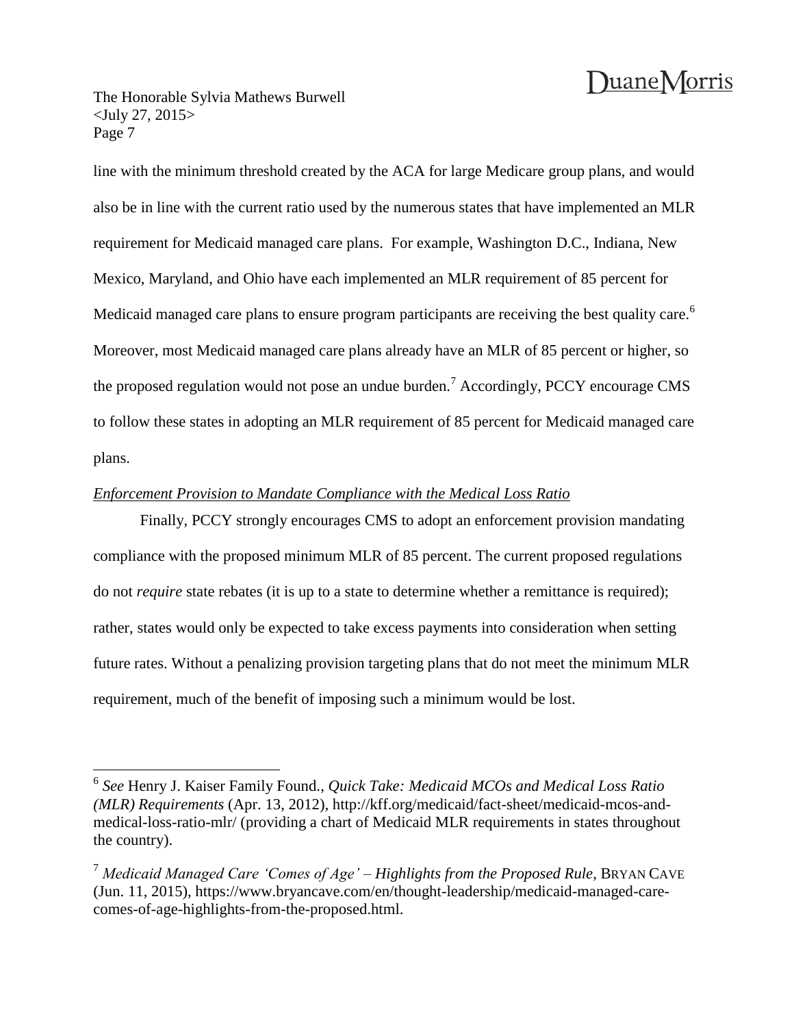The Honorable Sylvia Mathews Burwell <July 27, 2015> Page 7

 $\overline{a}$ 

line with the minimum threshold created by the ACA for large Medicare group plans, and would also be in line with the current ratio used by the numerous states that have implemented an MLR requirement for Medicaid managed care plans. For example, Washington D.C., Indiana, New Mexico, Maryland, and Ohio have each implemented an MLR requirement of 85 percent for Medicaid managed care plans to ensure program participants are receiving the best quality care.<sup>6</sup> Moreover, most Medicaid managed care plans already have an MLR of 85 percent or higher, so the proposed regulation would not pose an undue burden.<sup>7</sup> Accordingly, PCCY encourage CMS to follow these states in adopting an MLR requirement of 85 percent for Medicaid managed care plans.

### *Enforcement Provision to Mandate Compliance with the Medical Loss Ratio*

Finally, PCCY strongly encourages CMS to adopt an enforcement provision mandating compliance with the proposed minimum MLR of 85 percent. The current proposed regulations do not *require* state rebates (it is up to a state to determine whether a remittance is required); rather, states would only be expected to take excess payments into consideration when setting future rates. Without a penalizing provision targeting plans that do not meet the minimum MLR requirement, much of the benefit of imposing such a minimum would be lost.

<sup>6</sup> *See* Henry J. Kaiser Family Found., *Quick Take: Medicaid MCOs and Medical Loss Ratio (MLR) Requirements* (Apr. 13, 2012), http://kff.org/medicaid/fact-sheet/medicaid-mcos-andmedical-loss-ratio-mlr/ (providing a chart of Medicaid MLR requirements in states throughout the country).

<sup>7</sup> *Medicaid Managed Care 'Comes of Age' – Highlights from the Proposed Rule*, BRYAN CAVE (Jun. 11, 2015), https://www.bryancave.com/en/thought-leadership/medicaid-managed-carecomes-of-age-highlights-from-the-proposed.html.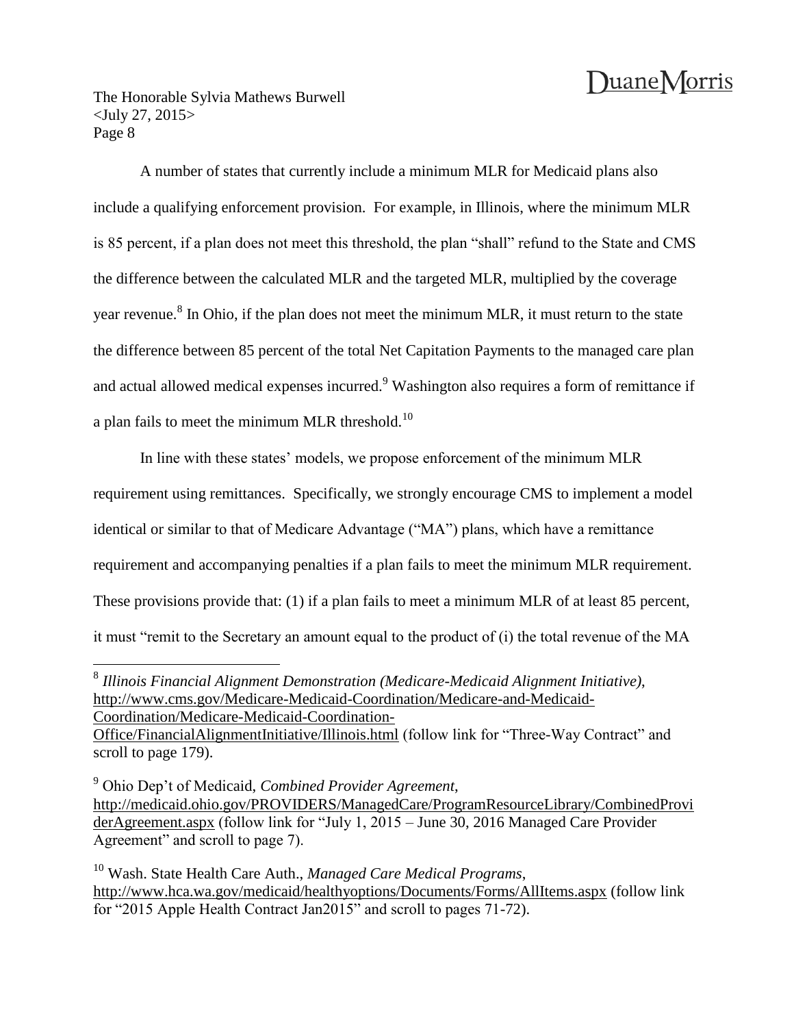The Honorable Sylvia Mathews Burwell <July 27, 2015> Page 8

A number of states that currently include a minimum MLR for Medicaid plans also include a qualifying enforcement provision. For example, in Illinois, where the minimum MLR is 85 percent, if a plan does not meet this threshold, the plan "shall" refund to the State and CMS the difference between the calculated MLR and the targeted MLR, multiplied by the coverage year revenue.<sup>8</sup> In Ohio, if the plan does not meet the minimum MLR, it must return to the state the difference between 85 percent of the total Net Capitation Payments to the managed care plan and actual allowed medical expenses incurred.<sup>9</sup> Washington also requires a form of remittance if a plan fails to meet the minimum MLR threshold.<sup>10</sup>

In line with these states' models, we propose enforcement of the minimum MLR requirement using remittances. Specifically, we strongly encourage CMS to implement a model identical or similar to that of Medicare Advantage ("MA") plans, which have a remittance requirement and accompanying penalties if a plan fails to meet the minimum MLR requirement. These provisions provide that: (1) if a plan fails to meet a minimum MLR of at least 85 percent, it must "remit to the Secretary an amount equal to the product of (i) the total revenue of the MA

 8 *Illinois Financial Alignment Demonstration (Medicare-Medicaid Alignment Initiative)*, http://www.cms.gov/Medicare-Medicaid-Coordination/Medicare-and-Medicaid-Coordination/Medicare-Medicaid-Coordination-

Office/FinancialAlignmentInitiative/Illinois.html (follow link for "Three-Way Contract" and scroll to page 179).

<sup>9</sup> Ohio Dep't of Medicaid, *Combined Provider Agreement*, http://medicaid.ohio.gov/PROVIDERS/ManagedCare/ProgramResourceLibrary/CombinedProvi derAgreement.aspx (follow link for "July 1, 2015 – June 30, 2016 Managed Care Provider Agreement" and scroll to page 7).

<sup>10</sup> Wash. State Health Care Auth., *Managed Care Medical Programs*, http://www.hca.wa.gov/medicaid/healthyoptions/Documents/Forms/AllItems.aspx (follow link for "2015 Apple Health Contract Jan2015" and scroll to pages 71-72).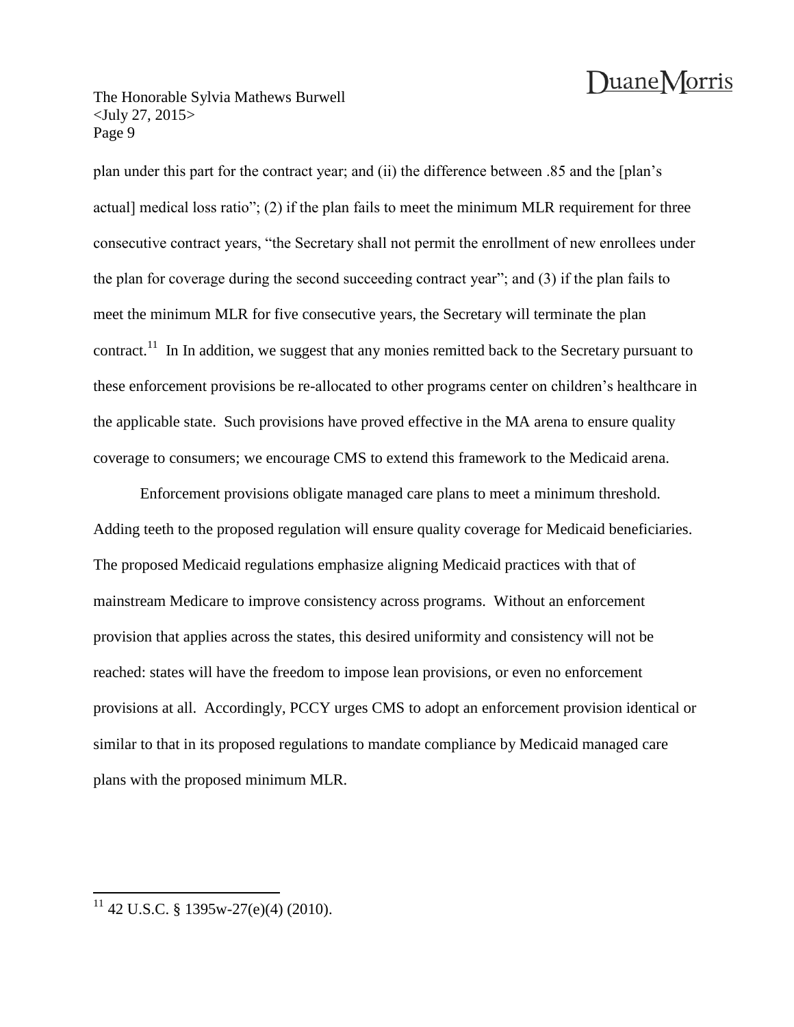The Honorable Sylvia Mathews Burwell <July 27, 2015> Page 9

plan under this part for the contract year; and (ii) the difference between .85 and the [plan's actual] medical loss ratio"; (2) if the plan fails to meet the minimum MLR requirement for three consecutive contract years, "the Secretary shall not permit the enrollment of new enrollees under the plan for coverage during the second succeeding contract year"; and (3) if the plan fails to meet the minimum MLR for five consecutive years, the Secretary will terminate the plan contract.<sup>11</sup> In In addition, we suggest that any monies remitted back to the Secretary pursuant to these enforcement provisions be re-allocated to other programs center on children's healthcare in the applicable state. Such provisions have proved effective in the MA arena to ensure quality coverage to consumers; we encourage CMS to extend this framework to the Medicaid arena.

Enforcement provisions obligate managed care plans to meet a minimum threshold. Adding teeth to the proposed regulation will ensure quality coverage for Medicaid beneficiaries. The proposed Medicaid regulations emphasize aligning Medicaid practices with that of mainstream Medicare to improve consistency across programs. Without an enforcement provision that applies across the states, this desired uniformity and consistency will not be reached: states will have the freedom to impose lean provisions, or even no enforcement provisions at all. Accordingly, PCCY urges CMS to adopt an enforcement provision identical or similar to that in its proposed regulations to mandate compliance by Medicaid managed care plans with the proposed minimum MLR.

 $\overline{a}$ 

 $11$  42 U.S.C. § 1395w-27(e)(4) (2010).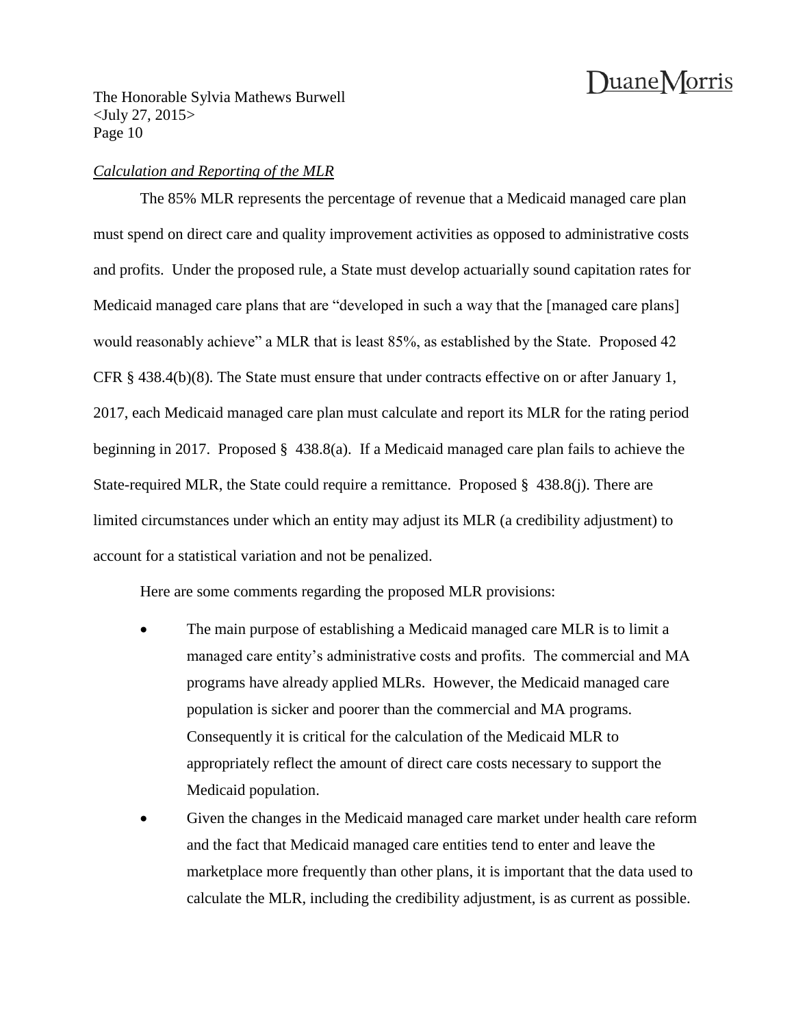The Honorable Sylvia Mathews Burwell <July 27, 2015> Page 10

#### *Calculation and Reporting of the MLR*

The 85% MLR represents the percentage of revenue that a Medicaid managed care plan must spend on direct care and quality improvement activities as opposed to administrative costs and profits. Under the proposed rule, a State must develop actuarially sound capitation rates for Medicaid managed care plans that are "developed in such a way that the [managed care plans] would reasonably achieve" a MLR that is least 85%, as established by the State. Proposed 42 CFR § 438.4(b)(8). The State must ensure that under contracts effective on or after January 1, 2017, each Medicaid managed care plan must calculate and report its MLR for the rating period beginning in 2017. Proposed § 438.8(a). If a Medicaid managed care plan fails to achieve the State-required MLR, the State could require a remittance. Proposed § 438.8(j). There are limited circumstances under which an entity may adjust its MLR (a credibility adjustment) to account for a statistical variation and not be penalized.

Here are some comments regarding the proposed MLR provisions:

- The main purpose of establishing a Medicaid managed care MLR is to limit a managed care entity's administrative costs and profits. The commercial and MA programs have already applied MLRs. However, the Medicaid managed care population is sicker and poorer than the commercial and MA programs. Consequently it is critical for the calculation of the Medicaid MLR to appropriately reflect the amount of direct care costs necessary to support the Medicaid population.
- Given the changes in the Medicaid managed care market under health care reform and the fact that Medicaid managed care entities tend to enter and leave the marketplace more frequently than other plans, it is important that the data used to calculate the MLR, including the credibility adjustment, is as current as possible.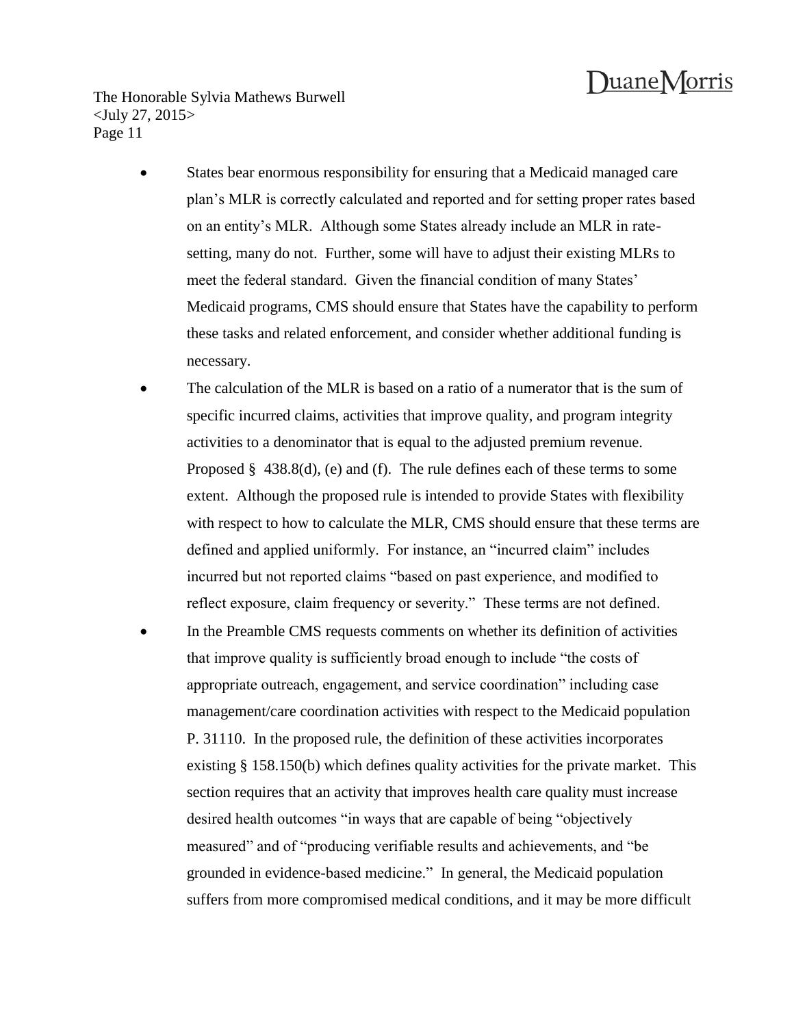The Honorable Sylvia Mathews Burwell <July 27, 2015> Page 11

- States bear enormous responsibility for ensuring that a Medicaid managed care plan's MLR is correctly calculated and reported and for setting proper rates based on an entity's MLR. Although some States already include an MLR in ratesetting, many do not. Further, some will have to adjust their existing MLRs to meet the federal standard. Given the financial condition of many States' Medicaid programs, CMS should ensure that States have the capability to perform these tasks and related enforcement, and consider whether additional funding is necessary.
- The calculation of the MLR is based on a ratio of a numerator that is the sum of specific incurred claims, activities that improve quality, and program integrity activities to a denominator that is equal to the adjusted premium revenue. Proposed § 438.8(d), (e) and (f). The rule defines each of these terms to some extent. Although the proposed rule is intended to provide States with flexibility with respect to how to calculate the MLR, CMS should ensure that these terms are defined and applied uniformly. For instance, an "incurred claim" includes incurred but not reported claims "based on past experience, and modified to reflect exposure, claim frequency or severity." These terms are not defined.
- In the Preamble CMS requests comments on whether its definition of activities that improve quality is sufficiently broad enough to include "the costs of appropriate outreach, engagement, and service coordination" including case management/care coordination activities with respect to the Medicaid population P. 31110. In the proposed rule, the definition of these activities incorporates existing § 158.150(b) which defines quality activities for the private market. This section requires that an activity that improves health care quality must increase desired health outcomes "in ways that are capable of being "objectively measured" and of "producing verifiable results and achievements, and "be grounded in evidence-based medicine." In general, the Medicaid population suffers from more compromised medical conditions, and it may be more difficult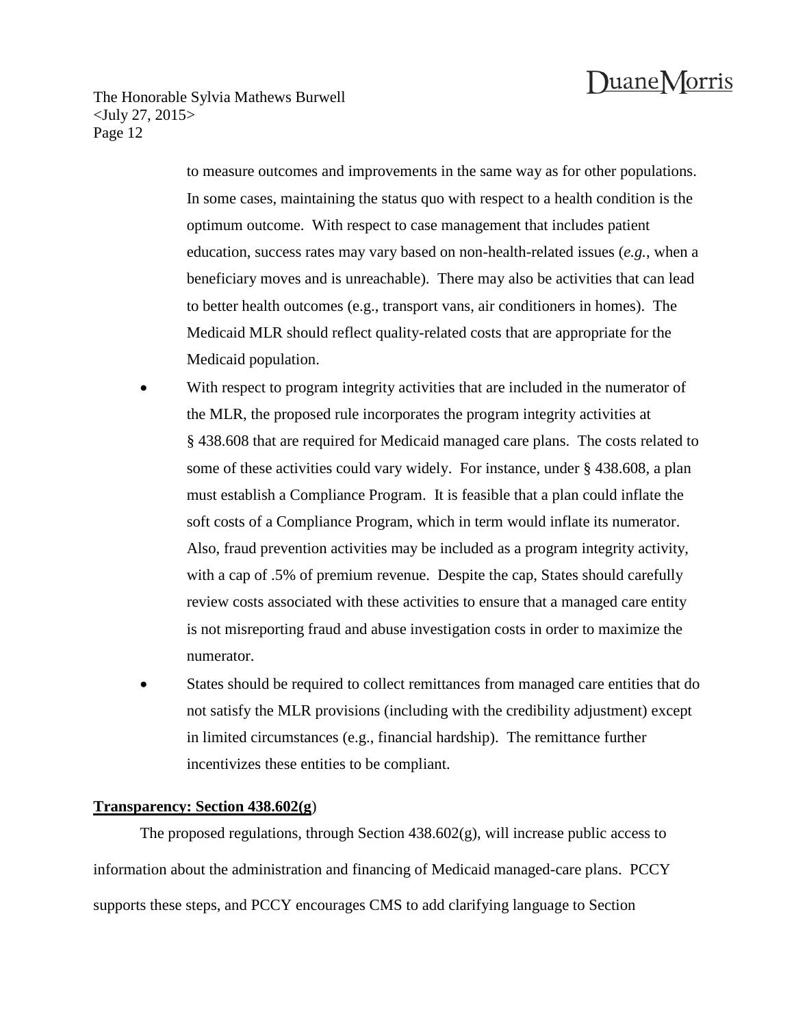The Honorable Sylvia Mathews Burwell <July 27, 2015> Page 12

> to measure outcomes and improvements in the same way as for other populations. In some cases, maintaining the status quo with respect to a health condition is the optimum outcome. With respect to case management that includes patient education, success rates may vary based on non-health-related issues (*e.g.*, when a beneficiary moves and is unreachable). There may also be activities that can lead to better health outcomes (e.g., transport vans, air conditioners in homes). The Medicaid MLR should reflect quality-related costs that are appropriate for the Medicaid population.

- With respect to program integrity activities that are included in the numerator of the MLR, the proposed rule incorporates the program integrity activities at § 438.608 that are required for Medicaid managed care plans. The costs related to some of these activities could vary widely. For instance, under § 438.608, a plan must establish a Compliance Program. It is feasible that a plan could inflate the soft costs of a Compliance Program, which in term would inflate its numerator. Also, fraud prevention activities may be included as a program integrity activity, with a cap of .5% of premium revenue. Despite the cap, States should carefully review costs associated with these activities to ensure that a managed care entity is not misreporting fraud and abuse investigation costs in order to maximize the numerator.
- States should be required to collect remittances from managed care entities that do not satisfy the MLR provisions (including with the credibility adjustment) except in limited circumstances (e.g., financial hardship). The remittance further incentivizes these entities to be compliant.

#### **Transparency: Section 438.602(g**)

The proposed regulations, through Section 438.602(g), will increase public access to information about the administration and financing of Medicaid managed-care plans. PCCY supports these steps, and PCCY encourages CMS to add clarifying language to Section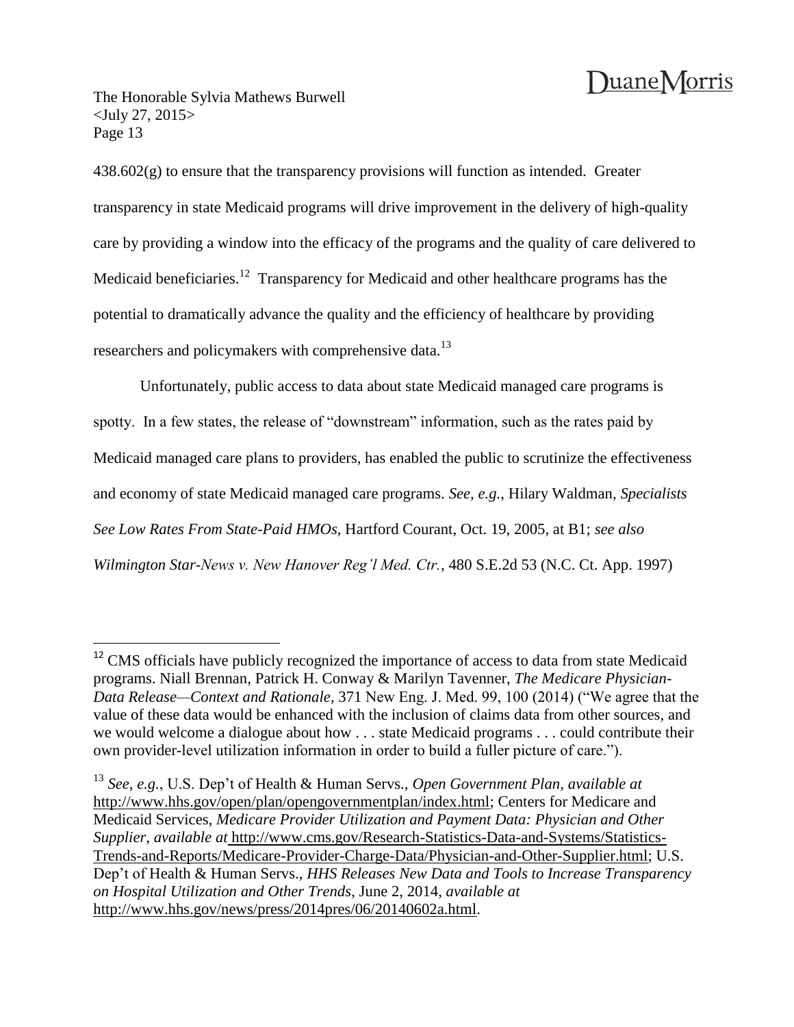The Honorable Sylvia Mathews Burwell <July 27, 2015> Page 13

 $\overline{a}$ 

 $438.602(g)$  to ensure that the transparency provisions will function as intended. Greater transparency in state Medicaid programs will drive improvement in the delivery of high-quality care by providing a window into the efficacy of the programs and the quality of care delivered to Medicaid beneficiaries.<sup>12</sup> Transparency for Medicaid and other healthcare programs has the potential to dramatically advance the quality and the efficiency of healthcare by providing researchers and policymakers with comprehensive data.<sup>13</sup>

Unfortunately, public access to data about state Medicaid managed care programs is spotty. In a few states, the release of "downstream" information, such as the rates paid by Medicaid managed care plans to providers, has enabled the public to scrutinize the effectiveness and economy of state Medicaid managed care programs. *See, e.g.*, Hilary Waldman, *Specialists See Low Rates From State-Paid HMOs*, Hartford Courant, Oct. 19, 2005, at B1; *see also Wilmington Star-News v. New Hanover Reg'l Med. Ctr.*, 480 S.E.2d 53 (N.C. Ct. App. 1997)

<sup>&</sup>lt;sup>12</sup> CMS officials have publicly recognized the importance of access to data from state Medicaid programs. Niall Brennan, Patrick H. Conway & Marilyn Tavenner, *The Medicare Physician-Data Release—Context and Rationale*, 371 New Eng. J. Med. 99, 100 (2014) ("We agree that the value of these data would be enhanced with the inclusion of claims data from other sources, and we would welcome a dialogue about how . . . state Medicaid programs . . . could contribute their own provider-level utilization information in order to build a fuller picture of care.").

<sup>13</sup> *See*, *e.g.*, U.S. Dep't of Health & Human Servs., *Open Government Plan*, *available at* http://www.hhs.gov/open/plan/opengovernmentplan/index.html; Centers for Medicare and Medicaid Services, *Medicare Provider Utilization and Payment Data: Physician and Other Supplier*, *available at* http://www.cms.gov/Research-Statistics-Data-and-Systems/Statistics-Trends-and-Reports/Medicare-Provider-Charge-Data/Physician-and-Other-Supplier.html; U.S. Dep't of Health & Human Servs., *HHS Releases New Data and Tools to Increase Transparency on Hospital Utilization and Other Trends*, June 2, 2014, *available at* http://www.hhs.gov/news/press/2014pres/06/20140602a.html.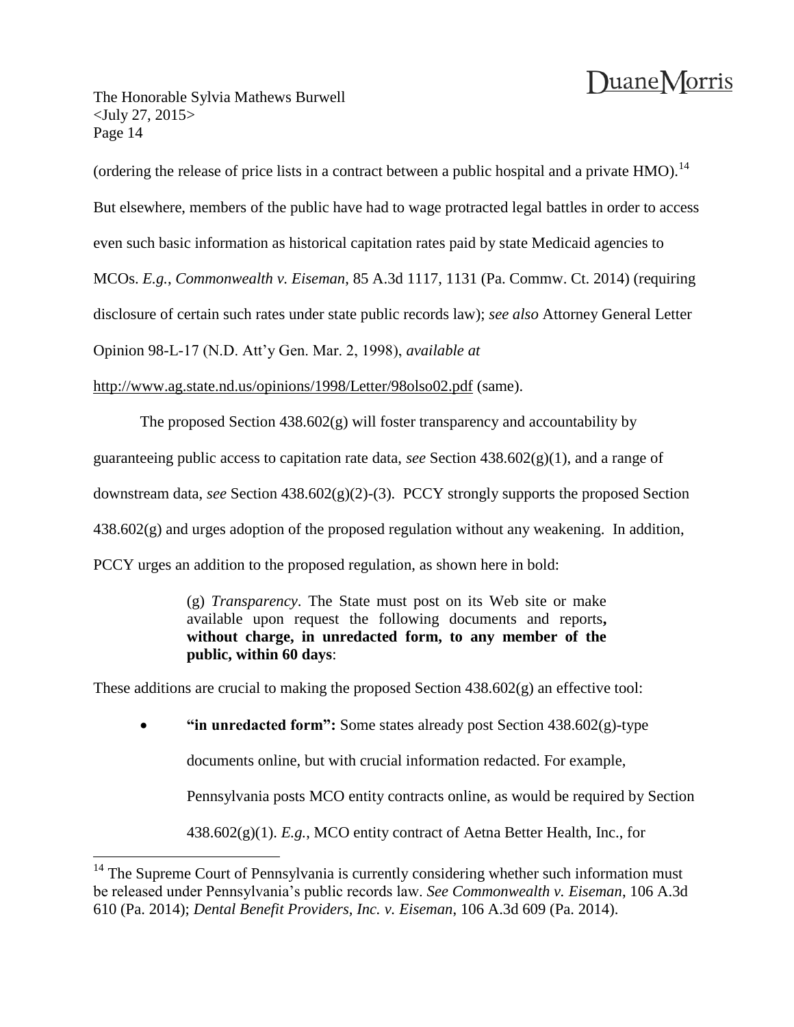The Honorable Sylvia Mathews Burwell <July 27, 2015> Page 14

 $\overline{a}$ 

(ordering the release of price lists in a contract between a public hospital and a private HMO).<sup>14</sup>

But elsewhere, members of the public have had to wage protracted legal battles in order to access

even such basic information as historical capitation rates paid by state Medicaid agencies to

MCOs. *E.g.*, *Commonwealth v. Eiseman*, 85 A.3d 1117, 1131 (Pa. Commw. Ct. 2014) (requiring

disclosure of certain such rates under state public records law); *see also* Attorney General Letter

Opinion 98-L-17 (N.D. Att'y Gen. Mar. 2, 1998), *available at*

http://www.ag.state.nd.us/opinions/1998/Letter/98olso02.pdf (same).

The proposed Section  $438.602(g)$  will foster transparency and accountability by

guaranteeing public access to capitation rate data, *see* Section 438.602(g)(1), and a range of

downstream data, *see* Section 438.602(g)(2)-(3). PCCY strongly supports the proposed Section

 $438.602(g)$  and urges adoption of the proposed regulation without any weakening. In addition,

PCCY urges an addition to the proposed regulation, as shown here in bold:

(g) *Transparency*. The State must post on its Web site or make available upon request the following documents and reports**, without charge, in unredacted form, to any member of the public, within 60 days**:

These additions are crucial to making the proposed Section 438.602(g) an effective tool:

**"in unredacted form":** Some states already post Section 438.602(g)-type

documents online, but with crucial information redacted. For example,

Pennsylvania posts MCO entity contracts online, as would be required by Section

438.602(g)(1). *E.g.*, MCO entity contract of Aetna Better Health, Inc., for

 $14$  The Supreme Court of Pennsylvania is currently considering whether such information must be released under Pennsylvania's public records law. *See Commonwealth v. Eiseman*, 106 A.3d 610 (Pa. 2014); *Dental Benefit Providers, Inc. v. Eiseman*, 106 A.3d 609 (Pa. 2014).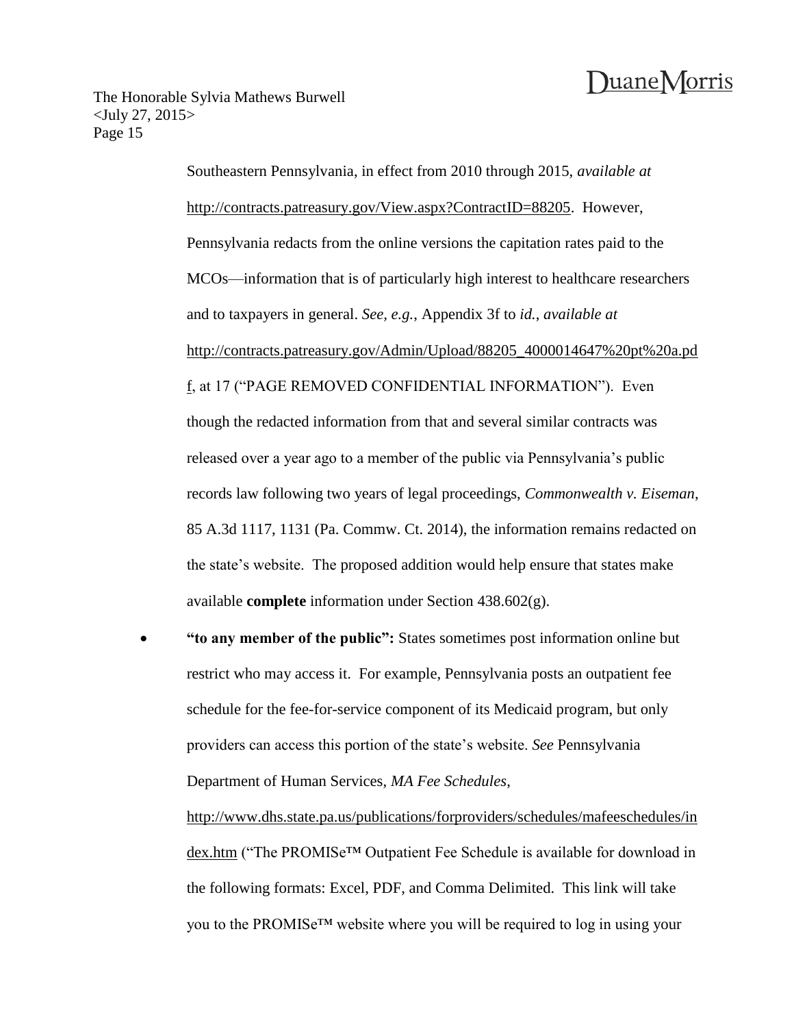The Honorable Sylvia Mathews Burwell <July 27, 2015> Page 15

> Southeastern Pennsylvania, in effect from 2010 through 2015, *available at* http://contracts.patreasury.gov/View.aspx?ContractID=88205. However, Pennsylvania redacts from the online versions the capitation rates paid to the MCOs—information that is of particularly high interest to healthcare researchers and to taxpayers in general. *See, e.g.*, Appendix 3f to *id.*, *available at* http://contracts.patreasury.gov/Admin/Upload/88205\_4000014647%20pt%20a.pd f, at 17 ("PAGE REMOVED CONFIDENTIAL INFORMATION"). Even though the redacted information from that and several similar contracts was released over a year ago to a member of the public via Pennsylvania's public records law following two years of legal proceedings, *Commonwealth v. Eiseman*, 85 A.3d 1117, 1131 (Pa. Commw. Ct. 2014), the information remains redacted on the state's website. The proposed addition would help ensure that states make available **complete** information under Section 438.602(g).

 **"to any member of the public":** States sometimes post information online but restrict who may access it. For example, Pennsylvania posts an outpatient fee schedule for the fee-for-service component of its Medicaid program, but only providers can access this portion of the state's website. *See* Pennsylvania Department of Human Services, *MA Fee Schedules*,

http://www.dhs.state.pa.us/publications/forproviders/schedules/mafeeschedules/in dex.htm ("The PROMISe™ Outpatient Fee Schedule is available for download in the following formats: Excel, PDF, and Comma Delimited. This link will take you to the PROMISe™ website where you will be required to log in using your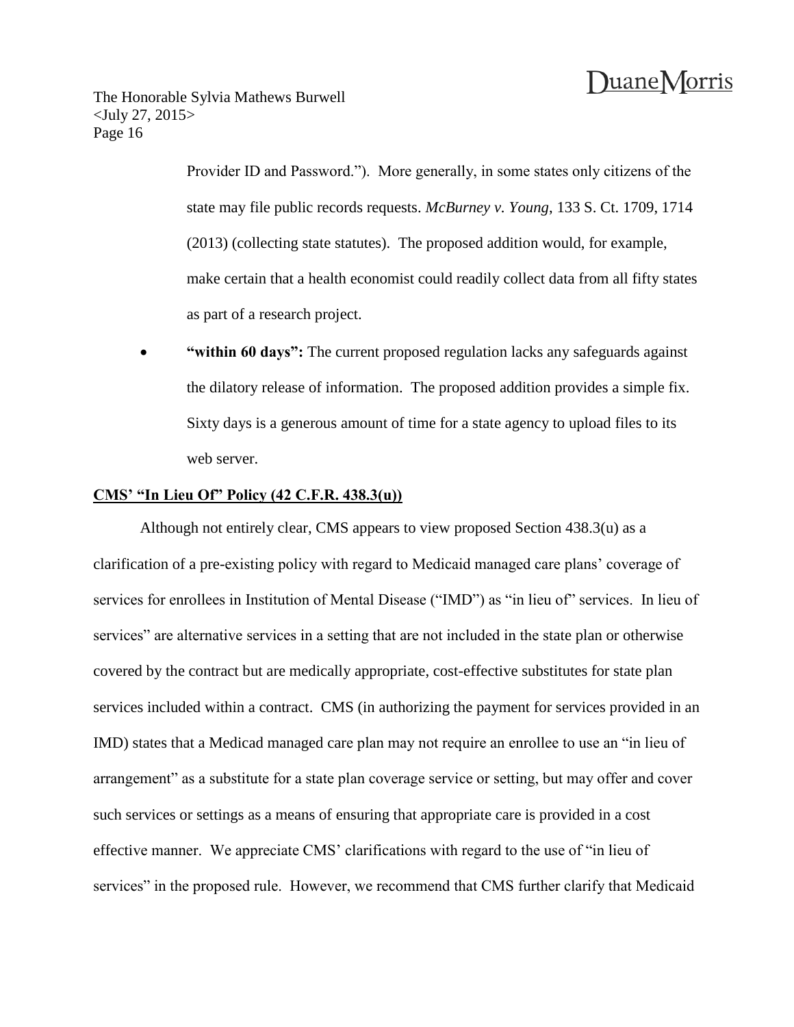Provider ID and Password."). More generally, in some states only citizens of the state may file public records requests. *McBurney v. Young*, 133 S. Ct. 1709, 1714 (2013) (collecting state statutes). The proposed addition would, for example, make certain that a health economist could readily collect data from all fifty states as part of a research project.

 **"within 60 days":** The current proposed regulation lacks any safeguards against the dilatory release of information. The proposed addition provides a simple fix. Sixty days is a generous amount of time for a state agency to upload files to its web server.

### **CMS' "In Lieu Of" Policy (42 C.F.R. 438.3(u))**

Although not entirely clear, CMS appears to view proposed Section 438.3(u) as a clarification of a pre-existing policy with regard to Medicaid managed care plans' coverage of services for enrollees in Institution of Mental Disease ("IMD") as "in lieu of" services. In lieu of services" are alternative services in a setting that are not included in the state plan or otherwise covered by the contract but are medically appropriate, cost-effective substitutes for state plan services included within a contract. CMS (in authorizing the payment for services provided in an IMD) states that a Medicad managed care plan may not require an enrollee to use an "in lieu of arrangement" as a substitute for a state plan coverage service or setting, but may offer and cover such services or settings as a means of ensuring that appropriate care is provided in a cost effective manner. We appreciate CMS' clarifications with regard to the use of "in lieu of services" in the proposed rule. However, we recommend that CMS further clarify that Medicaid